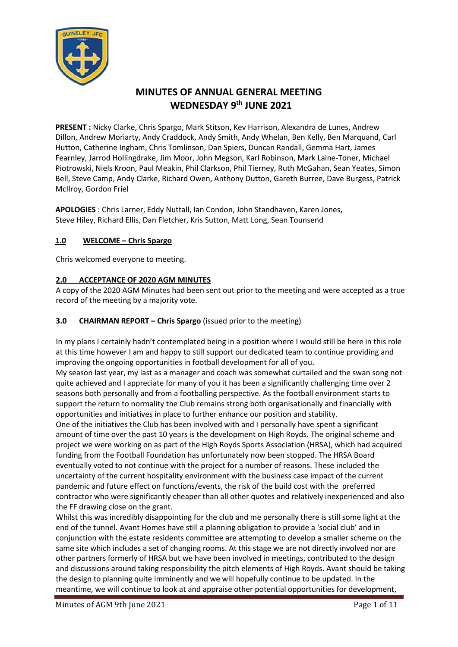

# **MINUTES OF ANNUAL GENERAL MEETING WEDNESDAY 9 th JUNE 2021**

**PRESENT :** Nicky Clarke, Chris Spargo, Mark Stitson, Kev Harrison, Alexandra de Lunes, Andrew Dillon, Andrew Moriarty, Andy Craddock, Andy Smith, Andy Whelan, Ben Kelly, Ben Marquand, Carl Hutton, Catherine Ingham, Chris Tomlinson, Dan Spiers, Duncan Randall, Gemma Hart, James Fearnley, Jarrod Hollingdrake, Jim Moor, John Megson, Karl Robinson, Mark Laine-Toner, Michael Piotrowski, Niels Kroon, Paul Meakin, Phil Clarkson, Phil Tierney, Ruth McGahan, Sean Yeates, Simon Bell, Steve Camp, Andy Clarke, Richard Owen, Anthony Dutton, Gareth Burree, Dave Burgess, Patrick McIlroy, Gordon Friel

**APOLOGIES** : Chris Larner, Eddy Nuttall, Ian Condon, John Standhaven, Karen Jones, Steve Hiley, Richard Ellis, Dan Fletcher, Kris Sutton, Matt Long, Sean Tounsend

### **1.0 WELCOME – Chris Spargo**

Chris welcomed everyone to meeting.

### **2.0 ACCEPTANCE OF 2020 AGM MINUTES**

A copy of the 2020 AGM Minutes had been sent out prior to the meeting and were accepted as a true record of the meeting by a majority vote.

#### **3.0 CHAIRMAN REPORT – Chris Spargo** (issued prior to the meeting)

In my plans I certainly hadn't contemplated being in a position where I would still be here in this role at this time however I am and happy to still support our dedicated team to continue providing and improving the ongoing opportunities in football development for all of you.

My season last year, my last as a manager and coach was somewhat curtailed and the swan song not quite achieved and I appreciate for many of you it has been a significantly challenging time over 2 seasons both personally and from a footballing perspective. As the football environment starts to support the return to normality the Club remains strong both organisationally and financially with opportunities and initiatives in place to further enhance our position and stability.

One of the initiatives the Club has been involved with and I personally have spent a significant amount of time over the past 10 years is the development on High Royds. The original scheme and project we were working on as part of the High Royds Sports Association (HRSA), which had acquired funding from the Football Foundation has unfortunately now been stopped. The HRSA Board eventually voted to not continue with the project for a number of reasons. These included the uncertainty of the current hospitality environment with the business case impact of the current pandemic and future effect on functions/events, the risk of the build cost with the preferred contractor who were significantly cheaper than all other quotes and relatively inexperienced and also the FF drawing close on the grant.

Whilst this was incredibly disappointing for the club and me personally there is still some light at the end of the tunnel. Avant Homes have still a planning obligation to provide a 'social club' and in conjunction with the estate residents committee are attempting to develop a smaller scheme on the same site which includes a set of changing rooms. At this stage we are not directly involved nor are other partners formerly of HRSA but we have been involved in meetings, contributed to the design and discussions around taking responsibility the pitch elements of High Royds. Avant should be taking the design to planning quite imminently and we will hopefully continue to be updated. In the meantime, we will continue to look at and appraise other potential opportunities for development,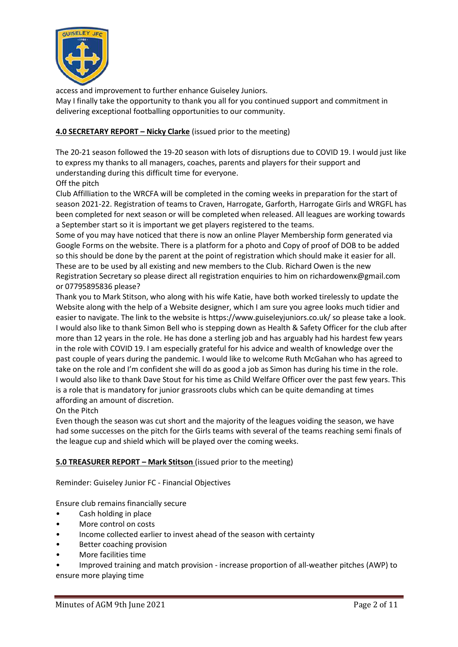

access and improvement to further enhance Guiseley Juniors.

May I finally take the opportunity to thank you all for you continued support and commitment in delivering exceptional footballing opportunities to our community.

### **4.0 SECRETARY REPORT – Nicky Clarke** (issued prior to the meeting)

The 20-21 season followed the 19-20 season with lots of disruptions due to COVID 19. I would just like to express my thanks to all managers, coaches, parents and players for their support and understanding during this difficult time for everyone.

Off the pitch

Club Affilliation to the WRCFA will be completed in the coming weeks in preparation for the start of season 2021-22. Registration of teams to Craven, Harrogate, Garforth, Harrogate Girls and WRGFL has been completed for next season or will be completed when released. All leagues are working towards a September start so it is important we get players registered to the teams.

Some of you may have noticed that there is now an online Player Membership form generated via Google Forms on the website. There is a platform for a photo and Copy of proof of DOB to be added so this should be done by the parent at the point of registration which should make it easier for all. These are to be used by all existing and new members to the Club. Richard Owen is the new Registration Secretary so please direct all registration enquiries to him on richardowenx@gmail.com or 07795895836 please?

Thank you to Mark Stitson, who along with his wife Katie, have both worked tirelessly to update the Website along with the help of a Website designer, which I am sure you agree looks much tidier and easier to navigate. The link to the website is https://www.guiseleyjuniors.co.uk/ so please take a look. I would also like to thank Simon Bell who is stepping down as Health & Safety Officer for the club after more than 12 years in the role. He has done a sterling job and has arguably had his hardest few years in the role with COVID 19. I am especially grateful for his advice and wealth of knowledge over the past couple of years during the pandemic. I would like to welcome Ruth McGahan who has agreed to take on the role and I'm confident she will do as good a job as Simon has during his time in the role. I would also like to thank Dave Stout for his time as Child Welfare Officer over the past few years. This is a role that is mandatory for junior grassroots clubs which can be quite demanding at times affording an amount of discretion.

On the Pitch

Even though the season was cut short and the majority of the leagues voiding the season, we have had some successes on the pitch for the Girls teams with several of the teams reaching semi finals of the league cup and shield which will be played over the coming weeks.

### **5.0 TREASURER REPORT – Mark Stitson** (issued prior to the meeting)

Reminder: Guiseley Junior FC - Financial Objectives

Ensure club remains financially secure

- Cash holding in place
- More control on costs
- Income collected earlier to invest ahead of the season with certainty
- Better coaching provision
- More facilities time
- Improved training and match provision increase proportion of all-weather pitches (AWP) to

ensure more playing time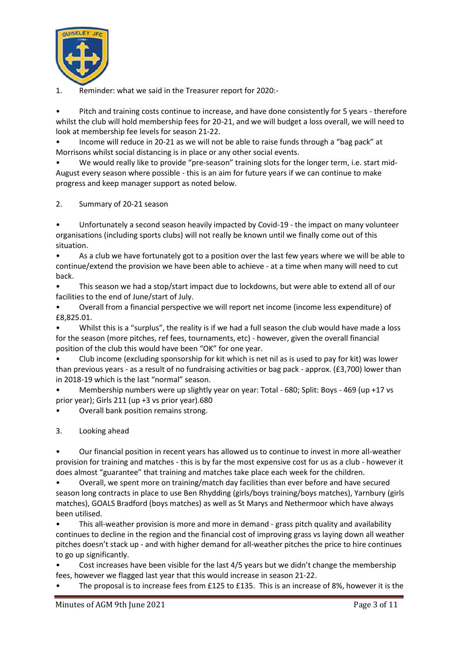

1. Reminder: what we said in the Treasurer report for 2020:-

• Pitch and training costs continue to increase, and have done consistently for 5 years - therefore whilst the club will hold membership fees for 20-21, and we will budget a loss overall, we will need to look at membership fee levels for season 21-22.

• Income will reduce in 20-21 as we will not be able to raise funds through a "bag pack" at Morrisons whilst social distancing is in place or any other social events.

• We would really like to provide "pre-season" training slots for the longer term, i.e. start mid-August every season where possible - this is an aim for future years if we can continue to make progress and keep manager support as noted below.

2. Summary of 20-21 season

• Unfortunately a second season heavily impacted by Covid-19 - the impact on many volunteer organisations (including sports clubs) will not really be known until we finally come out of this situation.

• As a club we have fortunately got to a position over the last few years where we will be able to continue/extend the provision we have been able to achieve - at a time when many will need to cut back.

• This season we had a stop/start impact due to lockdowns, but were able to extend all of our facilities to the end of June/start of July.

• Overall from a financial perspective we will report net income (income less expenditure) of £8,825.01.

• Whilst this is a "surplus", the reality is if we had a full season the club would have made a loss for the season (more pitches, ref fees, tournaments, etc) - however, given the overall financial position of the club this would have been "OK" for one year.

• Club income (excluding sponsorship for kit which is net nil as is used to pay for kit) was lower than previous years - as a result of no fundraising activities or bag pack - approx. (£3,700) lower than in 2018-19 which is the last "normal" season.

• Membership numbers were up slightly year on year: Total - 680; Split: Boys - 469 (up +17 vs prior year); Girls 211 (up +3 vs prior year).680

• Overall bank position remains strong.

3. Looking ahead

• Our financial position in recent years has allowed us to continue to invest in more all-weather provision for training and matches - this is by far the most expensive cost for us as a club - however it does almost "guarantee" that training and matches take place each week for the children.

• Overall, we spent more on training/match day facilities than ever before and have secured season long contracts in place to use Ben Rhydding (girls/boys training/boys matches), Yarnbury (girls matches), GOALS Bradford (boys matches) as well as St Marys and Nethermoor which have always been utilised.

• This all-weather provision is more and more in demand - grass pitch quality and availability continues to decline in the region and the financial cost of improving grass vs laying down all weather pitches doesn't stack up - and with higher demand for all-weather pitches the price to hire continues to go up significantly.

• Cost increases have been visible for the last 4/5 years but we didn't change the membership fees, however we flagged last year that this would increase in season 21-22.

The proposal is to increase fees from £125 to £135. This is an increase of 8%, however it is the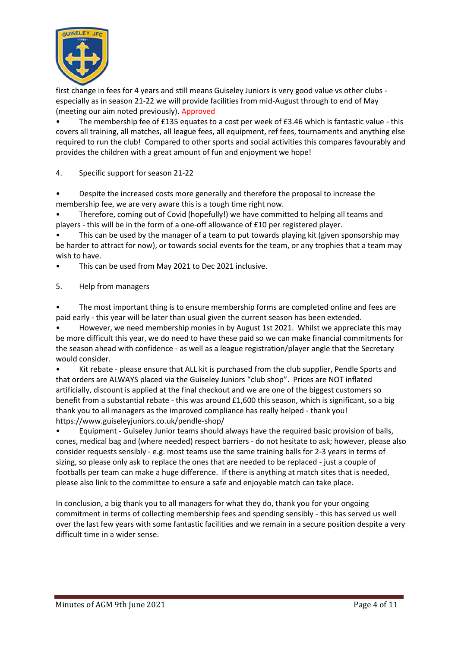

first change in fees for 4 years and still means Guiseley Juniors is very good value vs other clubs especially as in season 21-22 we will provide facilities from mid-August through to end of May (meeting our aim noted previously). Approved

• The membership fee of £135 equates to a cost per week of £3.46 which is fantastic value - this covers all training, all matches, all league fees, all equipment, ref fees, tournaments and anything else required to run the club! Compared to other sports and social activities this compares favourably and provides the children with a great amount of fun and enjoyment we hope!

4. Specific support for season 21-22

• Despite the increased costs more generally and therefore the proposal to increase the membership fee, we are very aware this is a tough time right now.

• Therefore, coming out of Covid (hopefully!) we have committed to helping all teams and players - this will be in the form of a one-off allowance of £10 per registered player.

This can be used by the manager of a team to put towards playing kit (given sponsorship may be harder to attract for now), or towards social events for the team, or any trophies that a team may wish to have.

This can be used from May 2021 to Dec 2021 inclusive.

5. Help from managers

The most important thing is to ensure membership forms are completed online and fees are paid early - this year will be later than usual given the current season has been extended.

• However, we need membership monies in by August 1st 2021. Whilst we appreciate this may be more difficult this year, we do need to have these paid so we can make financial commitments for the season ahead with confidence - as well as a league registration/player angle that the Secretary would consider.

• Kit rebate - please ensure that ALL kit is purchased from the club supplier, Pendle Sports and that orders are ALWAYS placed via the Guiseley Juniors "club shop". Prices are NOT inflated artificially, discount is applied at the final checkout and we are one of the biggest customers so benefit from a substantial rebate - this was around £1,600 this season, which is significant, so a big thank you to all managers as the improved compliance has really helped - thank you! https://www.guiseleyjuniors.co.uk/pendle-shop/

• Equipment - Guiseley Junior teams should always have the required basic provision of balls, cones, medical bag and (where needed) respect barriers - do not hesitate to ask; however, please also consider requests sensibly - e.g. most teams use the same training balls for 2-3 years in terms of sizing, so please only ask to replace the ones that are needed to be replaced - just a couple of footballs per team can make a huge difference. If there is anything at match sites that is needed, please also link to the committee to ensure a safe and enjoyable match can take place.

In conclusion, a big thank you to all managers for what they do, thank you for your ongoing commitment in terms of collecting membership fees and spending sensibly - this has served us well over the last few years with some fantastic facilities and we remain in a secure position despite a very difficult time in a wider sense.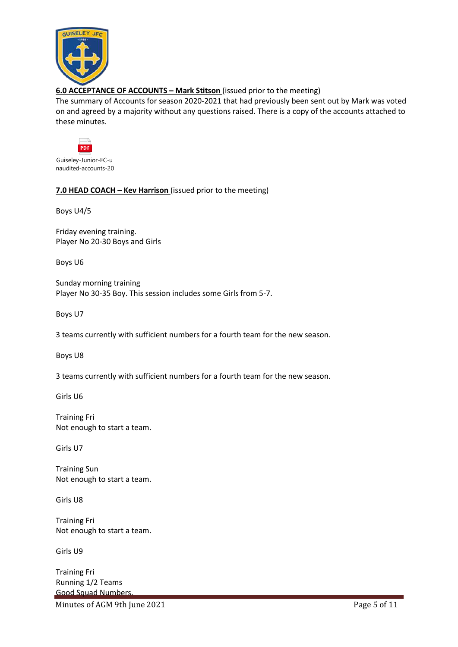

### **6.0 ACCEPTANCE OF ACCOUNTS – Mark Stitson** (issued prior to the meeting)

The summary of Accounts for season 2020-2021 that had previously been sent out by Mark was voted on and agreed by a majority without any questions raised. There is a copy of the accounts attached to these minutes.



Guiseley-Junior-FC-u naudited-accounts-20

### **7.0 HEAD COACH – Kev Harrison** (issued prior to the meeting)

Boys U4/5

Friday evening training. Player No 20-30 Boys and Girls

Boys U6

Sunday morning training Player No 30-35 Boy. This session includes some Girls from 5-7.

Boys U7

3 teams currently with sufficient numbers for a fourth team for the new season.

Boys U8

3 teams currently with sufficient numbers for a fourth team for the new season.

Girls U6

Training Fri Not enough to start a team.

Girls U7

Training Sun Not enough to start a team.

Girls U8

Training Fri Not enough to start a team.

Girls U9

Training Fri Running 1/2 Teams Good Squad Numbers.

Minutes of AGM 9th June 2021 **Page 5 of 11**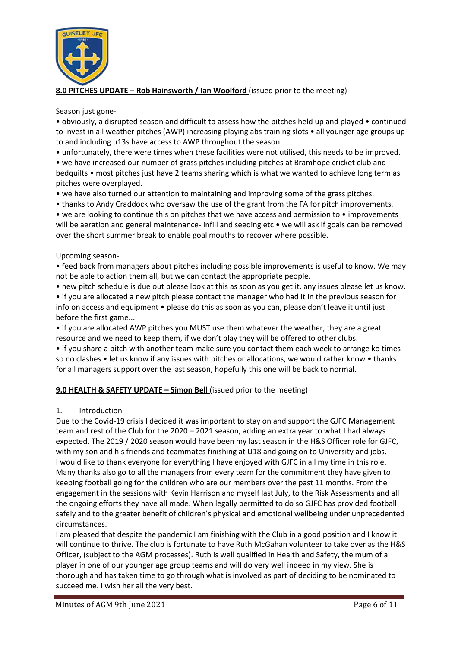

### **8.0 PITCHES UPDATE – Rob Hainsworth / Ian Woolford** (issued prior to the meeting)

#### Season just gone-

• obviously, a disrupted season and difficult to assess how the pitches held up and played • continued to invest in all weather pitches (AWP) increasing playing abs training slots • all younger age groups up to and including u13s have access to AWP throughout the season.

• unfortunately, there were times when these facilities were not utilised, this needs to be improved.

• we have increased our number of grass pitches including pitches at Bramhope cricket club and bedquilts • most pitches just have 2 teams sharing which is what we wanted to achieve long term as pitches were overplayed.

• we have also turned our attention to maintaining and improving some of the grass pitches.

• thanks to Andy Craddock who oversaw the use of the grant from the FA for pitch improvements.

• we are looking to continue this on pitches that we have access and permission to • improvements will be aeration and general maintenance- infill and seeding etc • we will ask if goals can be removed over the short summer break to enable goal mouths to recover where possible.

#### Upcoming season-

• feed back from managers about pitches including possible improvements is useful to know. We may not be able to action them all, but we can contact the appropriate people.

• new pitch schedule is due out please look at this as soon as you get it, any issues please let us know.

• if you are allocated a new pitch please contact the manager who had it in the previous season for info on access and equipment • please do this as soon as you can, please don't leave it until just before the first game...

• if you are allocated AWP pitches you MUST use them whatever the weather, they are a great resource and we need to keep them, if we don't play they will be offered to other clubs.

• if you share a pitch with another team make sure you contact them each week to arrange ko times so no clashes • let us know if any issues with pitches or allocations, we would rather know • thanks for all managers support over the last season, hopefully this one will be back to normal.

### **9.0 HEALTH & SAFETY UPDATE – Simon Bell** (issued prior to the meeting)

### 1. Introduction

Due to the Covid-19 crisis I decided it was important to stay on and support the GJFC Management team and rest of the Club for the 2020 – 2021 season, adding an extra year to what I had always expected. The 2019 / 2020 season would have been my last season in the H&S Officer role for GJFC, with my son and his friends and teammates finishing at U18 and going on to University and jobs. I would like to thank everyone for everything I have enjoyed with GJFC in all my time in this role. Many thanks also go to all the managers from every team for the commitment they have given to keeping football going for the children who are our members over the past 11 months. From the engagement in the sessions with Kevin Harrison and myself last July, to the Risk Assessments and all the ongoing efforts they have all made. When legally permitted to do so GJFC has provided football safely and to the greater benefit of children's physical and emotional wellbeing under unprecedented circumstances.

I am pleased that despite the pandemic I am finishing with the Club in a good position and I know it will continue to thrive. The club is fortunate to have Ruth McGahan volunteer to take over as the H&S Officer, (subject to the AGM processes). Ruth is well qualified in Health and Safety, the mum of a player in one of our younger age group teams and will do very well indeed in my view. She is thorough and has taken time to go through what is involved as part of deciding to be nominated to succeed me. I wish her all the very best.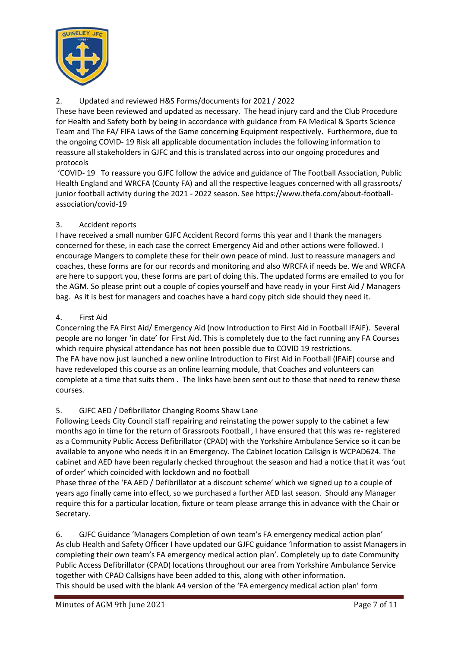

### 2. Updated and reviewed H&S Forms/documents for 2021 / 2022

These have been reviewed and updated as necessary. The head injury card and the Club Procedure for Health and Safety both by being in accordance with guidance from FA Medical & Sports Science Team and The FA/ FIFA Laws of the Game concerning Equipment respectively. Furthermore, due to the ongoing COVID- 19 Risk all applicable documentation includes the following information to reassure all stakeholders in GJFC and this is translated across into our ongoing procedures and protocols

'COVID- 19 To reassure you GJFC follow the advice and guidance of The Football Association, Public Health England and WRCFA (County FA) and all the respective leagues concerned with all grassroots/ junior football activity during the 2021 - 2022 season. See https://www.thefa.com/about-footballassociation/covid-19

### 3. Accident reports

I have received a small number GJFC Accident Record forms this year and I thank the managers concerned for these, in each case the correct Emergency Aid and other actions were followed. I encourage Mangers to complete these for their own peace of mind. Just to reassure managers and coaches, these forms are for our records and monitoring and also WRCFA if needs be. We and WRCFA are here to support you, these forms are part of doing this. The updated forms are emailed to you for the AGM. So please print out a couple of copies yourself and have ready in your First Aid / Managers bag. As it is best for managers and coaches have a hard copy pitch side should they need it.

### 4. First Aid

Concerning the FA First Aid/ Emergency Aid (now Introduction to First Aid in Football IFAiF). Several people are no longer 'in date' for First Aid. This is completely due to the fact running any FA Courses which require physical attendance has not been possible due to COVID 19 restrictions. The FA have now just launched a new online Introduction to First Aid in Football (IFAiF) course and have redeveloped this course as an online learning module, that Coaches and volunteers can complete at a time that suits them . The links have been sent out to those that need to renew these courses.

### 5. GJFC AED / Defibrillator Changing Rooms Shaw Lane

Following Leeds City Council staff repairing and reinstating the power supply to the cabinet a few months ago in time for the return of Grassroots Football , I have ensured that this was re- registered as a Community Public Access Defibrillator (CPAD) with the Yorkshire Ambulance Service so it can be available to anyone who needs it in an Emergency. The Cabinet location Callsign is WCPAD624. The cabinet and AED have been regularly checked throughout the season and had a notice that it was 'out of order' which coincided with lockdown and no football

Phase three of the 'FA AED / Defibrillator at a discount scheme' which we signed up to a couple of years ago finally came into effect, so we purchased a further AED last season. Should any Manager require this for a particular location, fixture or team please arrange this in advance with the Chair or Secretary.

6. GJFC Guidance 'Managers Completion of own team's FA emergency medical action plan' As club Health and Safety Officer I have updated our GJFC guidance 'Information to assist Managers in completing their own team's FA emergency medical action plan'. Completely up to date Community Public Access Defibrillator (CPAD) locations throughout our area from Yorkshire Ambulance Service together with CPAD Callsigns have been added to this, along with other information. This should be used with the blank A4 version of the 'FA emergency medical action plan' form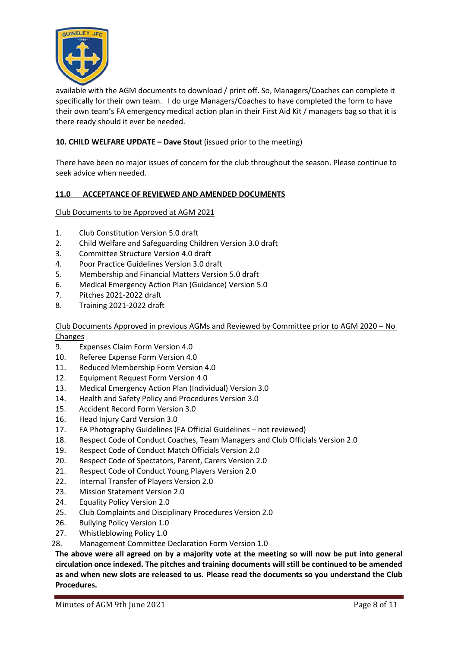

available with the AGM documents to download / print off. So, Managers/Coaches can complete it specifically for their own team. I do urge Managers/Coaches to have completed the form to have their own team's FA emergency medical action plan in their First Aid Kit / managers bag so that it is there ready should it ever be needed.

### **10. CHILD WELFARE UPDATE – Dave Stout** (issued prior to the meeting)

There have been no major issues of concern for the club throughout the season. Please continue to seek advice when needed.

#### **11.0 ACCEPTANCE OF REVIEWED AND AMENDED DOCUMENTS**

Club Documents to be Approved at AGM 2021

- 1. Club Constitution Version 5.0 draft
- 2. Child Welfare and Safeguarding Children Version 3.0 draft
- 3. Committee Structure Version 4.0 draft
- 4. Poor Practice Guidelines Version 3.0 draft
- 5. Membership and Financial Matters Version 5.0 draft
- 6. Medical Emergency Action Plan (Guidance) Version 5.0
- 7. Pitches 2021-2022 draft
- 8. Training 2021-2022 draft

Club Documents Approved in previous AGMs and Reviewed by Committee prior to AGM 2020 – No Changes

- 9. Expenses Claim Form Version 4.0
- 10. Referee Expense Form Version 4.0
- 11. Reduced Membership Form Version 4.0
- 12. Equipment Request Form Version 4.0
- 13. Medical Emergency Action Plan (Individual) Version 3.0
- 14. Health and Safety Policy and Procedures Version 3.0
- 15. Accident Record Form Version 3.0
- 16. Head Injury Card Version 3.0
- 17. FA Photography Guidelines (FA Official Guidelines not reviewed)
- 18. Respect Code of Conduct Coaches, Team Managers and Club Officials Version 2.0
- 19. Respect Code of Conduct Match Officials Version 2.0
- 20. Respect Code of Spectators, Parent, Carers Version 2.0
- 21. Respect Code of Conduct Young Players Version 2.0
- 22. Internal Transfer of Players Version 2.0
- 23. Mission Statement Version 2.0
- 24. Equality Policy Version 2.0
- 25. Club Complaints and Disciplinary Procedures Version 2.0
- 26. Bullying Policy Version 1.0
- 27. Whistleblowing Policy 1.0
- 28. Management Committee Declaration Form Version 1.0

**The above were all agreed on by a majority vote at the meeting so will now be put into general circulation once indexed. The pitches and training documents will still be continued to be amended as and when new slots are released to us. Please read the documents so you understand the Club Procedures.**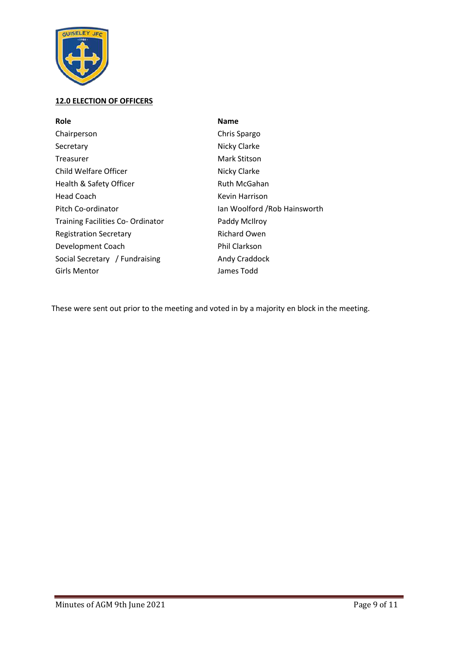

## **12.0 ELECTION OF OFFICERS**

| Role                                     | <b>Name</b>                   |
|------------------------------------------|-------------------------------|
| Chairperson                              | Chris Spargo                  |
| Secretary                                | Nicky Clarke                  |
| Treasurer                                | Mark Stitson                  |
| Child Welfare Officer                    | Nicky Clarke                  |
| Health & Safety Officer                  | <b>Ruth McGahan</b>           |
| Head Coach                               | Kevin Harrison                |
| Pitch Co-ordinator                       | Ian Woolford / Rob Hainsworth |
| <b>Training Facilities Co- Ordinator</b> | Paddy McIlroy                 |
| <b>Registration Secretary</b>            | <b>Richard Owen</b>           |
| Development Coach                        | <b>Phil Clarkson</b>          |
| Social Secretary / Fundraising           | Andy Craddock                 |
| Girls Mentor                             | James Todd                    |

These were sent out prior to the meeting and voted in by a majority en block in the meeting.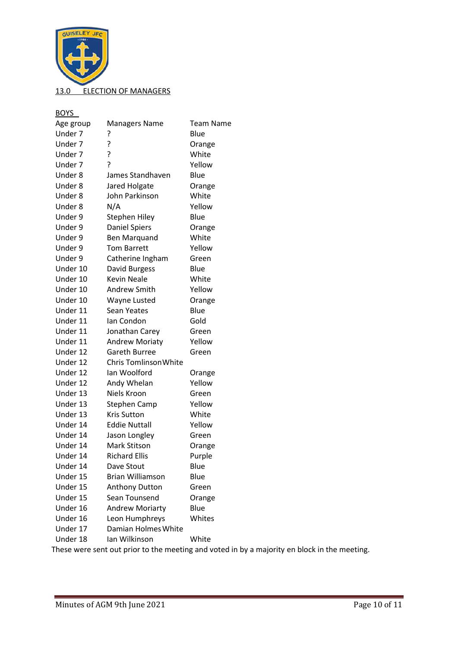

BOYS

| <b>.</b>  |                         |           |
|-----------|-------------------------|-----------|
| Age group | <b>Managers Name</b>    | Team Name |
| Under 7   | ?                       | Blue      |
| Under 7   | ?                       | Orange    |
| Under 7   | 5                       | White     |
| Under 7   | 5                       | Yellow    |
| Under 8   | James Standhaven        | Blue      |
| Under 8   | Jared Holgate           | Orange    |
| Under 8   | John Parkinson          | White     |
| Under 8   | N/A                     | Yellow    |
| Under 9   | <b>Stephen Hiley</b>    | Blue      |
| Under 9   | <b>Daniel Spiers</b>    | Orange    |
| Under 9   | <b>Ben Marquand</b>     | White     |
| Under 9   | <b>Tom Barrett</b>      | Yellow    |
| Under 9   | Catherine Ingham        | Green     |
| Under 10  | David Burgess           | Blue      |
| Under 10  | <b>Kevin Neale</b>      | White     |
| Under 10  | Andrew Smith            | Yellow    |
| Under 10  | Wayne Lusted            | Orange    |
| Under 11  | <b>Sean Yeates</b>      | Blue      |
| Under 11  | Ian Condon              | Gold      |
| Under 11  | Jonathan Carey          | Green     |
| Under 11  | <b>Andrew Moriaty</b>   | Yellow    |
| Under 12  | <b>Gareth Burree</b>    | Green     |
| Under 12  | Chris Tomlinson White   |           |
| Under 12  | lan Woolford            | Orange    |
| Under 12  | Andy Whelan             | Yellow    |
| Under 13  | Niels Kroon             | Green     |
| Under 13  | Stephen Camp            | Yellow    |
| Under 13  | <b>Kris Sutton</b>      | White     |
| Under 14  | <b>Eddie Nuttall</b>    | Yellow    |
| Under 14  | Jason Longley           | Green     |
| Under 14  | Mark Stitson            | Orange    |
| Under 14  | <b>Richard Ellis</b>    | Purple    |
| Under 14  | Dave Stout              | Blue      |
| Under 15  | <b>Brian Williamson</b> | Blue      |
| Under 15  | Anthony Dutton          | Green     |
| Under 15  | Sean Tounsend           | Orange    |
| Under 16  | <b>Andrew Moriarty</b>  | Blue      |
| Under 16  | Leon Humphreys          | Whites    |
| Under 17  | Damian Holmes White     |           |
| Under 18  | Ian Wilkinson           | White     |
|           |                         |           |

These were sent out prior to the meeting and voted in by a majority en block in the meeting.